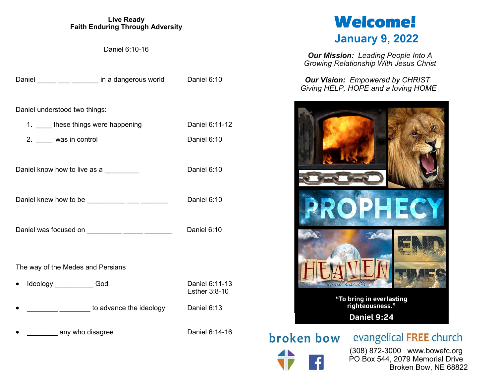#### **Live Ready Faith Enduring Through Adversity**

Daniel 6:10-16

|                                               | Daniel _____ ___ ___ ____ in a dangerous world      | Daniel 6:10                     |  |
|-----------------------------------------------|-----------------------------------------------------|---------------------------------|--|
| Daniel understood two things:                 |                                                     |                                 |  |
| 1. these things were happening                |                                                     | Daniel 6:11-12                  |  |
| 2. _____ was in control                       |                                                     | Daniel 6:10                     |  |
| Daniel know how to live as a                  |                                                     | Daniel 6:10                     |  |
|                                               | Daniel knew how to be ____________ ___ ______       | Daniel 6:10                     |  |
| Daniel was focused on __________ _____ ______ |                                                     | Daniel 6:10                     |  |
| The way of the Medes and Persians             |                                                     |                                 |  |
| Ideology ____________God<br>٠                 |                                                     | Daniel 6:11-13<br>Esther 3:8-10 |  |
|                                               | <u>____________________</u> to advance the ideology | Daniel 6:13                     |  |
| any who disagree                              |                                                     | Daniel 6:14-16                  |  |

# **Welcome! January 9, 2022**

*Our Mission: Leading People Into A Growing Relationship With Jesus Christ*

*Our Vision: Empowered by CHRIST Giving HELP, HOPE and a loving HOME*



broken bow

evangelical FREE church

 (308) 872-3000 www.bowefc.org PO Box 544, 2079 Memorial Drive Broken Bow, NE 68822